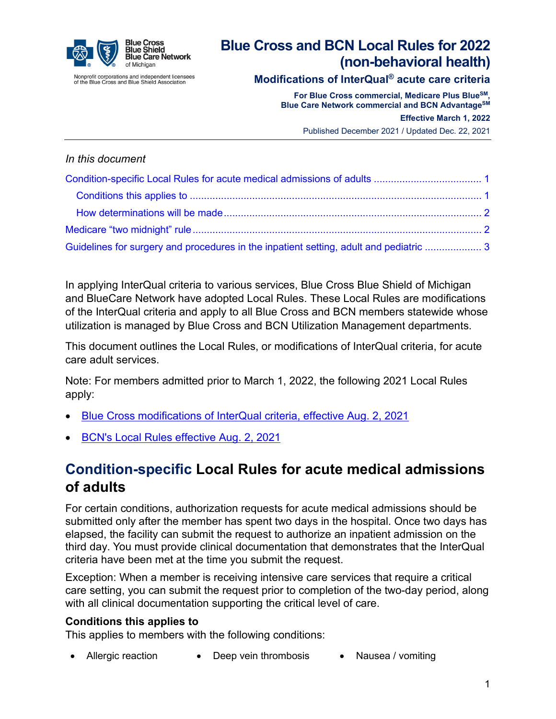

Nonprofit corporations and independent licensees<br>of the Blue Cross and Blue Shield Association

# **Blue Cross and BCN Local Rules for 2022 (non-behavioral health)**

### **Modifications of InterQual® acute care criteria**

**For Blue Cross commercial, Medicare Plus BlueSM, Blue Care Network commercial and BCN AdvantageSM**

**Effective March 1, 2022**

Published December 2021 / Updated Dec. 22, 2021

#### *In this document*

| Guidelines for surgery and procedures in the inpatient setting, adult and pediatric  3 |  |
|----------------------------------------------------------------------------------------|--|

In applying InterQual criteria to various services, Blue Cross Blue Shield of Michigan and BlueCare Network have adopted Local Rules. These Local Rules are modifications of the InterQual criteria and apply to all Blue Cross and BCN members statewide whose utilization is managed by Blue Cross and BCN Utilization Management departments.

This document outlines the Local Rules, or modifications of InterQual criteria, for acute care adult services.

Note: For members admitted prior to March 1, 2022, the following 2021 Local Rules apply:

- [Blue Cross modifications of InterQual](http://ereferrals.bcbsm.com/docs/bcbsm/bcbsm-2021-interqual-mod.pdf) criteria, effective Aug. 2, 2021
- [BCN's Local Rules effective Aug. 2, 2021](http://ereferrals.bcbsm.com/docs/bcn/bcn-2021-interqual-mod.pdf)

## <span id="page-0-0"></span>**Condition-specific Local Rules for acute medical admissions of adults**

For certain conditions, authorization requests for acute medical admissions should be submitted only after the member has spent two days in the hospital. Once two days has elapsed, the facility can submit the request to authorize an inpatient admission on the third day. You must provide clinical documentation that demonstrates that the InterQual criteria have been met at the time you submit the request.

Exception: When a member is receiving intensive care services that require a critical care setting, you can submit the request prior to completion of the two-day period, along with all clinical documentation supporting the critical level of care.

#### <span id="page-0-1"></span>**Conditions this applies to**

This applies to members with the following conditions:

• Allergic reaction • Deep vein thrombosis • Nausea / vomiting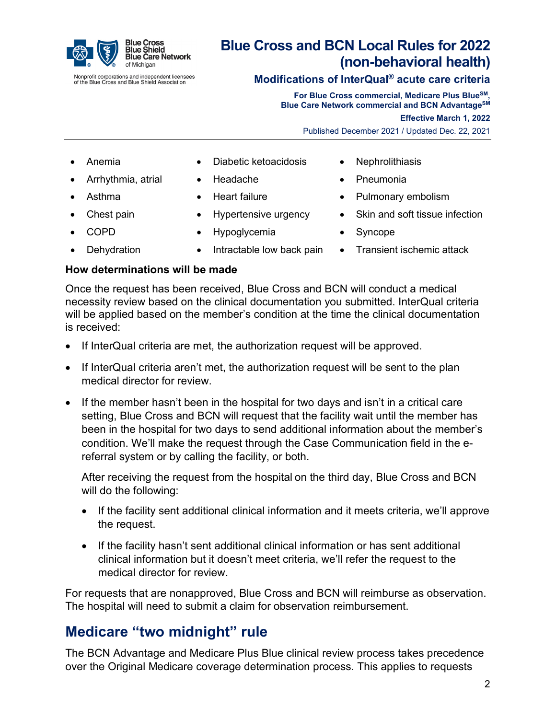

Nonprofit corporations and independent licensees<br>of the Blue Cross and Blue Shield Association

# **Blue Cross and BCN Local Rules for 2022 (non-behavioral health)**

### **Modifications of InterQual® acute care criteria**

**For Blue Cross commercial, Medicare Plus BlueSM, Blue Care Network commercial and BCN AdvantageSM**

**Effective March 1, 2022**

Published December 2021 / Updated Dec. 22, 2021

- 
- Arrhythmia, atrial Headache Pneumonia
- 
- -
- 
- Anemia Diabetic ketoacidosis Nephrolithiasis
	-
	-
	-
	- COPD Hypoglycemia Syncope
- Dehydration Intractable low back pain Transient ischemic attack
- 
- 
- Asthma Heart failure Pulmonary embolism
- Chest pain Hypertensive urgency Skin and soft tissue infection
	-
	-

#### <span id="page-1-0"></span>**How determinations will be made**

Once the request has been received, Blue Cross and BCN will conduct a medical necessity review based on the clinical documentation you submitted. InterQual criteria will be applied based on the member's condition at the time the clinical documentation is received:

- If InterQual criteria are met, the authorization request will be approved.
- If InterQual criteria aren't met, the authorization request will be sent to the plan medical director for review.
- If the member hasn't been in the hospital for two days and isn't in a critical care setting, Blue Cross and BCN will request that the facility wait until the member has been in the hospital for two days to send additional information about the member's condition. We'll make the request through the Case Communication field in the ereferral system or by calling the facility, or both.

After receiving the request from the hospital on the third day, Blue Cross and BCN will do the following:

- If the facility sent additional clinical information and it meets criteria, we'll approve the request.
- If the facility hasn't sent additional clinical information or has sent additional clinical information but it doesn't meet criteria, we'll refer the request to the medical director for review.

For requests that are nonapproved, Blue Cross and BCN will reimburse as observation. The hospital will need to submit a claim for observation reimbursement.

### <span id="page-1-1"></span>**Medicare "two midnight" rule**

The BCN Advantage and Medicare Plus Blue clinical review process takes precedence over the Original Medicare coverage determination process. This applies to requests